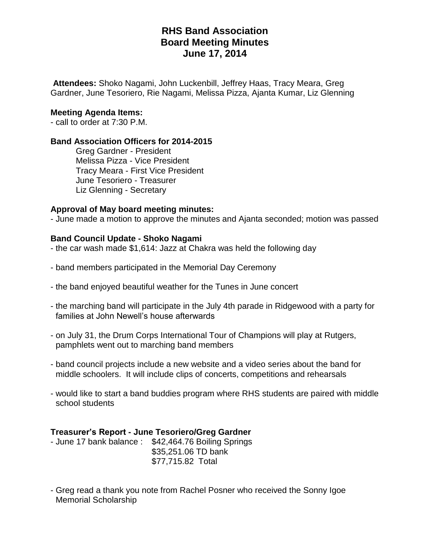**Attendees:** Shoko Nagami, John Luckenbill, Jeffrey Haas, Tracy Meara, Greg Gardner, June Tesoriero, Rie Nagami, Melissa Pizza, Ajanta Kumar, Liz Glenning

### **Meeting Agenda Items:**

- call to order at 7:30 P.M.

#### **Band Association Officers for 2014-2015**

Greg Gardner - President Melissa Pizza - Vice President Tracy Meara - First Vice President June Tesoriero - Treasurer Liz Glenning - Secretary

#### **Approval of May board meeting minutes:**

- June made a motion to approve the minutes and Ajanta seconded; motion was passed

#### **Band Council Update - Shoko Nagami**

- the car wash made \$1,614: Jazz at Chakra was held the following day

- band members participated in the Memorial Day Ceremony
- the band enjoyed beautiful weather for the Tunes in June concert
- the marching band will participate in the July 4th parade in Ridgewood with a party for families at John Newell's house afterwards
- on July 31, the Drum Corps International Tour of Champions will play at Rutgers, pamphlets went out to marching band members
- band council projects include a new website and a video series about the band for middle schoolers. It will include clips of concerts, competitions and rehearsals
- would like to start a band buddies program where RHS students are paired with middle school students

#### **Treasurer's Report - June Tesoriero/Greg Gardner**

| - June 17 bank balance: \$42,464.76 Boiling Springs |
|-----------------------------------------------------|
| \$35,251.06 TD bank                                 |
| \$77,715.82 Total                                   |
|                                                     |

- Greg read a thank you note from Rachel Posner who received the Sonny Igoe Memorial Scholarship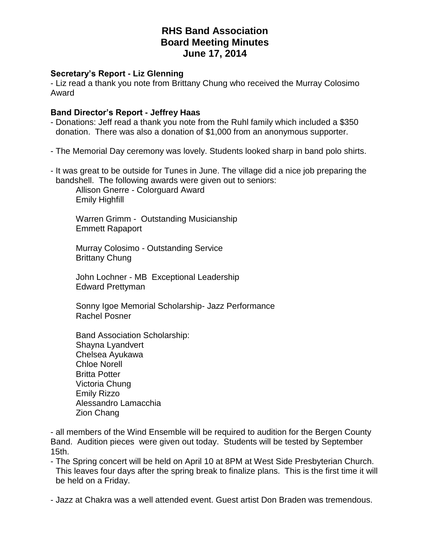### **Secretary's Report - Liz Glenning**

- Liz read a thank you note from Brittany Chung who received the Murray Colosimo Award

### **Band Director's Report - Jeffrey Haas**

- Donations: Jeff read a thank you note from the Ruhl family which included a \$350 donation. There was also a donation of \$1,000 from an anonymous supporter.
- The Memorial Day ceremony was lovely. Students looked sharp in band polo shirts.
- It was great to be outside for Tunes in June. The village did a nice job preparing the bandshell. The following awards were given out to seniors:

Allison Gnerre - Colorguard Award Emily Highfill

Warren Grimm - Outstanding Musicianship Emmett Rapaport

Murray Colosimo - Outstanding Service Brittany Chung

John Lochner - MB Exceptional Leadership Edward Prettyman

Sonny Igoe Memorial Scholarship- Jazz Performance Rachel Posner

Band Association Scholarship: Shayna Lyandvert Chelsea Ayukawa Chloe Norell Britta Potter Victoria Chung Emily Rizzo Alessandro Lamacchia Zion Chang

- all members of the Wind Ensemble will be required to audition for the Bergen County Band. Audition pieces were given out today. Students will be tested by September 15th.

- The Spring concert will be held on April 10 at 8PM at West Side Presbyterian Church. This leaves four days after the spring break to finalize plans. This is the first time it will be held on a Friday.

- Jazz at Chakra was a well attended event. Guest artist Don Braden was tremendous.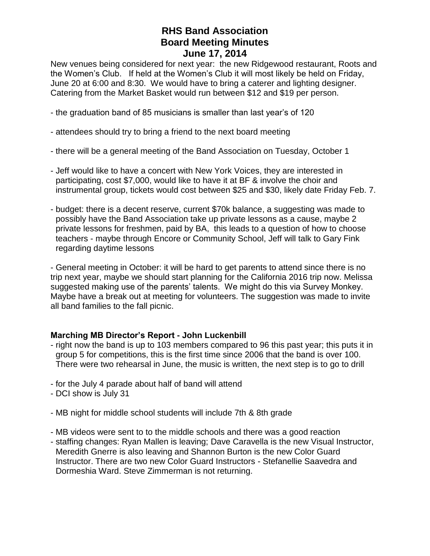New venues being considered for next year: the new Ridgewood restaurant, Roots and the Women's Club. If held at the Women's Club it will most likely be held on Friday, June 20 at 6:00 and 8:30. We would have to bring a caterer and lighting designer. Catering from the Market Basket would run between \$12 and \$19 per person.

- the graduation band of 85 musicians is smaller than last year's of 120
- attendees should try to bring a friend to the next board meeting
- there will be a general meeting of the Band Association on Tuesday, October 1
- Jeff would like to have a concert with New York Voices, they are interested in participating, cost \$7,000, would like to have it at BF & involve the choir and instrumental group, tickets would cost between \$25 and \$30, likely date Friday Feb. 7.
- budget: there is a decent reserve, current \$70k balance, a suggesting was made to possibly have the Band Association take up private lessons as a cause, maybe 2 private lessons for freshmen, paid by BA, this leads to a question of how to choose teachers - maybe through Encore or Community School, Jeff will talk to Gary Fink regarding daytime lessons

- General meeting in October: it will be hard to get parents to attend since there is no trip next year, maybe we should start planning for the California 2016 trip now. Melissa suggested making use of the parents' talents. We might do this via Survey Monkey. Maybe have a break out at meeting for volunteers. The suggestion was made to invite all band families to the fall picnic.

## **Marching MB Director's Report - John Luckenbill**

- right now the band is up to 103 members compared to 96 this past year; this puts it in group 5 for competitions, this is the first time since 2006 that the band is over 100. There were two rehearsal in June, the music is written, the next step is to go to drill
- for the July 4 parade about half of band will attend
- DCI show is July 31
- MB night for middle school students will include 7th & 8th grade
- MB videos were sent to to the middle schools and there was a good reaction
- staffing changes: Ryan Mallen is leaving; Dave Caravella is the new Visual Instructor, Meredith Gnerre is also leaving and Shannon Burton is the new Color Guard Instructor. There are two new Color Guard Instructors - Stefanellie Saavedra and Dormeshia Ward. Steve Zimmerman is not returning.